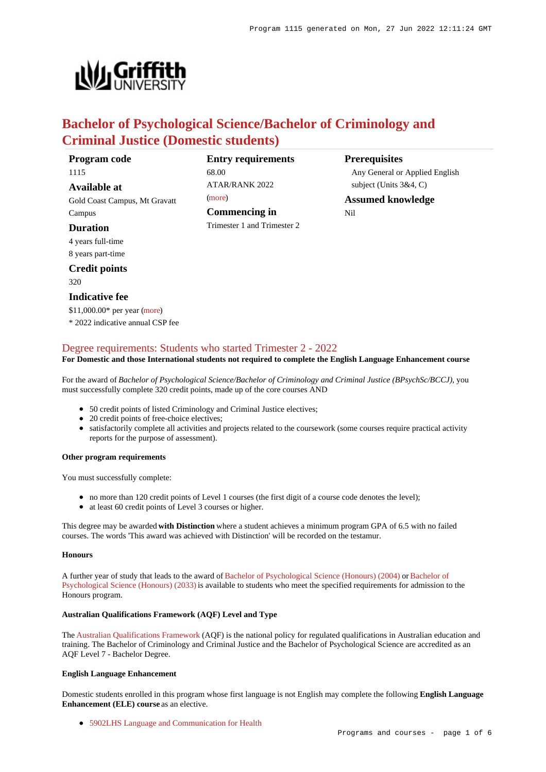

# **Bachelor of Psychological Science/Bachelor of Criminology and Criminal Justice (Domestic students)**

**Program code** 1115 **Available at** Gold Coast Campus, Mt Gravatt Campus **Duration** 4 years full-time 8 years part-time **Credit points** 320 **Indicative fee** \$11,000.00\* per year [\(more](https://www148.griffith.edu.au/programs-courses/Program/1115/Overview/Domestic#fees)) \* 2022 indicative annual CSP fee **Entry requirements** 68.00 ATAR/RANK 2022 [\(more](https://www148.griffith.edu.au/programs-courses/Program/1115/HowToApply/Domestic#tac-entry-requirements)) **Commencing in** Trimester 1 and Trimester 2 **Prerequisites**

Any General or Applied English subject (Units 3&4, C) **Assumed knowledge**

Nil

## [Degree requirements: Students who started Trimester 2 - 2022](https://www148.griffith.edu.au/programs-courses/Program/1115/Courses/Domestic#degree-requirements)

**For Domestic and those International students not required to complete the English Language Enhancement course**

For the award of *Bachelor of Psychological Science/Bachelor of Criminology and Criminal Justice (BPsychSc/BCCJ)*, you must successfully complete 320 credit points, made up of the core courses AND

- 50 credit points of listed Criminology and Criminal Justice electives;
- 20 credit points of free-choice electives;
- satisfactorily complete all activities and projects related to the coursework (some courses require practical activity reports for the purpose of assessment).

#### **Other program requirements**

You must successfully complete:

- no more than 120 credit points of Level 1 courses (the first digit of a course code denotes the level);
- at least 60 credit points of Level 3 courses or higher.

This degree may be awarded **with Distinction** where a student achieves a minimum program GPA of 6.5 with no failed courses. The words 'This award was achieved with Distinction' will be recorded on the testamur.

#### **Honours**

A further year of study that leads to the award of [Bachelor of Psychological Science \(Honours\) \(2004\)](https://www148.griffith.edu.au/Search/Results?SearchText=2004) or [Bachelor of](https://www148.griffith.edu.au/Search/Results?SearchText=2033) [Psychological Science \(Honours\) \(2033\)](https://www148.griffith.edu.au/Search/Results?SearchText=2033) is available to students who meet the specified requirements for admission to the Honours program.

#### **Australian Qualifications Framework (AQF) Level and Type**

The [Australian Qualifications Framework](http://www.aqf.edu.au/) (AQF) is the national policy for regulated qualifications in Australian education and training. The Bachelor of Criminology and Criminal Justice and the Bachelor of Psychological Science are accredited as an AQF Level 7 - Bachelor Degree.

#### **English Language Enhancement**

Domestic students enrolled in this program whose first language is not English may complete the following **English Language Enhancement (ELE) course** as an elective.

[5902LHS Language and Communication for Health](https://www148.griffith.edu.au/Course/5902LHS)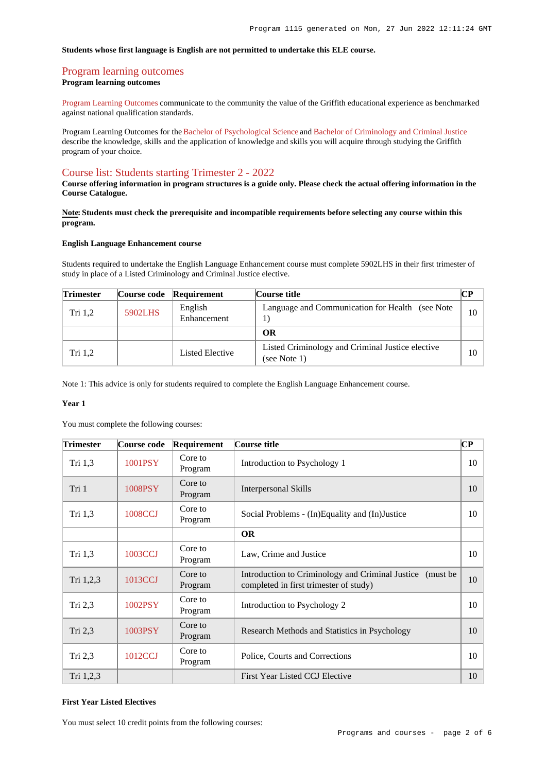#### **Students whose first language is English are not permitted to undertake this ELE course.**

#### [Program learning outcomes](https://www148.griffith.edu.au/programs-courses/Program/1115/Courses/Domestic#programLearningOutcomes)

#### **Program learning outcomes**

[Program Learning Outcomes](https://www.griffith.edu.au/__data/assets/pdf_file/0017/134522/PLO-general-advice.pdf) communicate to the community the value of the Griffith educational experience as benchmarked against national qualification standards.

Program Learning Outcomes for the [Bachelor of Psychological Science](https://www.griffith.edu.au/__data/assets/pdf_file/0023/832019/B-Psychological-Science-PLO-L7.pdf) and [Bachelor of Criminology and Criminal Justice](https://www.griffith.edu.au/__data/assets/pdf_file/0040/293998/BCriminology-Criminal-Justice-PLO-L7.pdf) describe the knowledge, skills and the application of knowledge and skills you will acquire through studying the Griffith program of your choice.

## [Course list: Students starting Trimester 2 - 2022](https://www148.griffith.edu.au/programs-courses/Program/1115/Courses/Domestic#course-list-content)

**Course offering information in program structures is a guide only. Please check the actual offering information in the Course Catalogue.**

**Note: Students must check the prerequisite and incompatible requirements before selecting any course within this program.**

## **English Language Enhancement course**

Students required to undertake the English Language Enhancement course must complete 5902LHS in their first trimester of study in place of a Listed Criminology and Criminal Justice elective.

| <b>Trimester</b> |         | Course code Requirement | Course title                                                     | CР |
|------------------|---------|-------------------------|------------------------------------------------------------------|----|
| Tri $1,2$        | 5902LHS | English<br>Enhancement  | Language and Communication for Health (see Note)                 | 10 |
|                  |         |                         | OR                                                               |    |
| Tri $1,2$        |         | Listed Elective         | Listed Criminology and Criminal Justice elective<br>(see Note 1) | 10 |

Note 1: This advice is only for students required to complete the English Language Enhancement course.

#### **Year 1**

You must complete the following courses:

| <b>Trimester</b> | Course code | Requirement        | Course title                                                                                         | $\bf CP$ |
|------------------|-------------|--------------------|------------------------------------------------------------------------------------------------------|----------|
| Tri 1,3          | 1001PSY     | Core to<br>Program | Introduction to Psychology 1                                                                         | 10       |
| Tri 1            | 1008PSY     | Core to<br>Program | Interpersonal Skills                                                                                 | 10       |
| Tri $1,3$        | 1008CCJ     | Core to<br>Program | Social Problems - (In)Equality and (In)Justice                                                       | 10       |
|                  |             |                    | <b>OR</b>                                                                                            |          |
| Tri $1,3$        | 1003CCJ     | Core to<br>Program | Law, Crime and Justice                                                                               | 10       |
| Tri 1,2,3        | 1013CCJ     | Core to<br>Program | Introduction to Criminology and Criminal Justice (must be)<br>completed in first trimester of study) | 10       |
| Tri $2,3$        | 1002PSY     | Core to<br>Program | Introduction to Psychology 2                                                                         | 10       |
| Tri $2,3$        | 1003PSY     | Core to<br>Program | Research Methods and Statistics in Psychology                                                        | 10       |
| Tri 2,3          | 1012CCJ     | Core to<br>Program | Police, Courts and Corrections                                                                       | 10       |
| Tri 1,2,3        |             |                    | First Year Listed CCJ Elective                                                                       | 10       |

#### **First Year Listed Electives**

You must select 10 credit points from the following courses: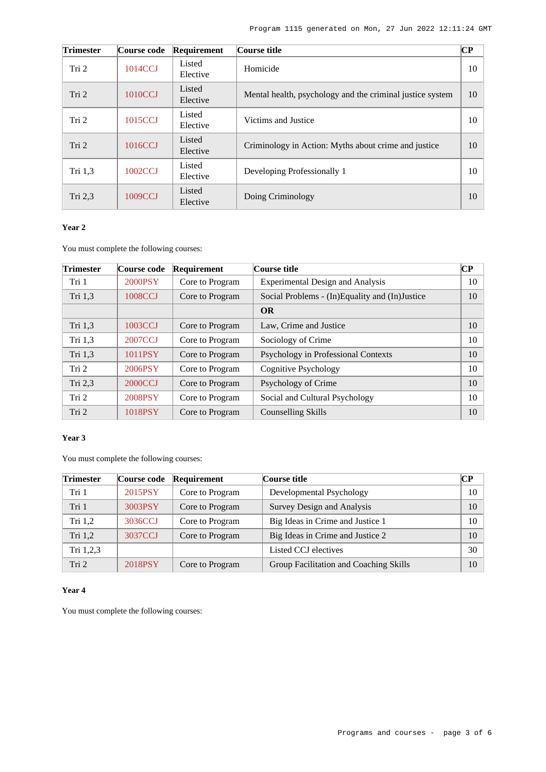| <b>Trimester</b> | Course code | Requirement        | Course title                                              | <b>CP</b> |
|------------------|-------------|--------------------|-----------------------------------------------------------|-----------|
| Tri 2            | 1014CCJ     | Listed<br>Elective | Homicide                                                  | 10        |
| Tri 2            | 1010CCJ     | Listed<br>Elective | Mental health, psychology and the criminal justice system | 10        |
| Tri 2            | 1015CCJ     | Listed<br>Elective | Victims and Justice                                       | 10        |
| Tri <sub>2</sub> | 1016CCJ     | Listed<br>Elective | Criminology in Action: Myths about crime and justice      | 10        |
| Tri 1,3          | 1002CCJ     | Listed<br>Elective | Developing Professionally 1                               | 10        |
| Tri 2,3          | 1009CCJ     | Listed<br>Elective | Doing Criminology                                         | 10        |

## **Year 2**

You must complete the following courses:

| <b>Trimester</b> | Course code | Requirement     | Course title                                   | <b>CP</b> |
|------------------|-------------|-----------------|------------------------------------------------|-----------|
| Tri 1            | 2000PSY     | Core to Program | <b>Experimental Design and Analysis</b>        | 10        |
| Tri 1,3          | 1008CCJ     | Core to Program | Social Problems - (In)Equality and (In)Justice | 10        |
|                  |             |                 | <b>OR</b>                                      |           |
| Tri 1,3          | 1003CCJ     | Core to Program | Law, Crime and Justice                         | 10        |
| Tri 1,3          | 2007CCJ     | Core to Program | Sociology of Crime                             | 10        |
| Tri 1,3          | 1011PSY     | Core to Program | Psychology in Professional Contexts            | 10        |
| Tri 2            | 2006PSY     | Core to Program | Cognitive Psychology                           | 10        |
| Tri 2,3          | 2000CCJ     | Core to Program | Psychology of Crime                            | 10        |
| Tri 2            | 2008PSY     | Core to Program | Social and Cultural Psychology                 | 10        |
| Tri 2            | 1018PSY     | Core to Program | Counselling Skills                             | 10        |

## **Year 3**

You must complete the following courses:

| <b>Trimester</b> | Course code | Requirement     | Course title                           | CР |
|------------------|-------------|-----------------|----------------------------------------|----|
| Tri 1            | 2015PSY     | Core to Program | Developmental Psychology               | 10 |
| Tri 1            | 3003PSY     | Core to Program | Survey Design and Analysis             | 10 |
| Tri $1,2$        | 3036CCJ     | Core to Program | Big Ideas in Crime and Justice 1       | 10 |
| Tri $1,2$        | 3037CCJ     | Core to Program | Big Ideas in Crime and Justice 2       | 10 |
| Tri 1,2,3        |             |                 | Listed CCJ electives                   | 30 |
| Tri <sub>2</sub> | 2018PSY     | Core to Program | Group Facilitation and Coaching Skills | 10 |

## **Year 4**

You must complete the following courses: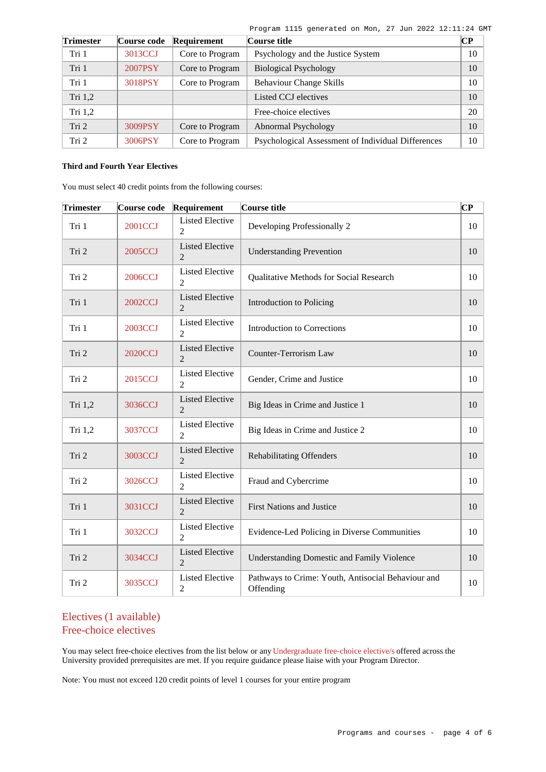| Program 1115 generated on Mon, 27 Jun 2022 12:11:24 GMT |  |  |  |  |  |  |  |  |
|---------------------------------------------------------|--|--|--|--|--|--|--|--|
|---------------------------------------------------------|--|--|--|--|--|--|--|--|

| <b>Trimester</b> | Course code | Requirement     | Course title                                       | $\mathbf{C}\mathbf{P}$ |
|------------------|-------------|-----------------|----------------------------------------------------|------------------------|
| Tri 1            | 3013CCJ     | Core to Program | Psychology and the Justice System                  | 10                     |
| Tri 1            | 2007PSY     | Core to Program | <b>Biological Psychology</b>                       | 10                     |
| Tri 1            | 3018PSY     | Core to Program | <b>Behaviour Change Skills</b>                     | 10                     |
| Tri 1,2          |             |                 | Listed CCI electives                               | 10                     |
| Tri $1,2$        |             |                 | Free-choice electives                              | 20                     |
| Tri 2            | 3009PSY     | Core to Program | Abnormal Psychology                                | 10                     |
| Tri 2            | 3006PSY     | Core to Program | Psychological Assessment of Individual Differences | 10                     |

## **Third and Fourth Year Electives**

You must select 40 credit points from the following courses:

| <b>Trimester</b> | Course code    | Requirement                              | Course title                                                    | $\overline{\mathbf{C}\mathbf{P}}$ |
|------------------|----------------|------------------------------------------|-----------------------------------------------------------------|-----------------------------------|
| Tri 1            | 2001CCJ        | <b>Listed Elective</b><br>$\mathfrak{D}$ | Developing Professionally 2                                     | 10                                |
| Tri 2            | 2005CCJ        | <b>Listed Elective</b><br>$\overline{2}$ | <b>Understanding Prevention</b>                                 | 10                                |
| Tri 2            | 2006CCJ        | <b>Listed Elective</b><br>$\overline{c}$ | Qualitative Methods for Social Research                         | 10                                |
| Tri 1            | 2002CCJ        | <b>Listed Elective</b><br>$\overline{2}$ | Introduction to Policing                                        | 10                                |
| Tri 1            | 2003CCJ        | <b>Listed Elective</b><br>$\overline{c}$ | <b>Introduction to Corrections</b>                              | 10                                |
| Tri 2            | <b>2020CCJ</b> | <b>Listed Elective</b><br>$\overline{2}$ | <b>Counter-Terrorism Law</b>                                    | 10                                |
| Tri 2            | 2015CCJ        | <b>Listed Elective</b><br>$\overline{2}$ | Gender, Crime and Justice                                       | 10                                |
| Tri 1,2          | 3036CCJ        | <b>Listed Elective</b><br>$\mathfrak{D}$ | Big Ideas in Crime and Justice 1                                | 10                                |
| Tri 1,2          | <b>3037CCJ</b> | <b>Listed Elective</b><br>$\overline{c}$ | Big Ideas in Crime and Justice 2                                | 10                                |
| Tri 2            | 3003CCJ        | <b>Listed Elective</b><br>$\overline{2}$ | <b>Rehabilitating Offenders</b>                                 | 10                                |
| Tri 2            | 3026CCJ        | <b>Listed Elective</b><br>$\mathfrak{2}$ | Fraud and Cybercrime                                            | 10                                |
| Tri 1            | 3031CCJ        | <b>Listed Elective</b><br>$\overline{c}$ | <b>First Nations and Justice</b>                                | 10                                |
| Tri 1            | 3032CCJ        | <b>Listed Elective</b><br>$\overline{2}$ | Evidence-Led Policing in Diverse Communities                    | 10                                |
| Tri 2            | 3034CCJ        | <b>Listed Elective</b><br>$\mathfrak{D}$ | <b>Understanding Domestic and Family Violence</b>               | 10                                |
| Tri 2            | 3035CCJ        | <b>Listed Elective</b><br>2              | Pathways to Crime: Youth, Antisocial Behaviour and<br>Offending | 10                                |

## Electives (1 available) Free-choice electives

You may select free-choice electives from the list below or any [Undergraduate free-choice elective/s](https://www148.griffith.edu.au/programs-courses/Search/Results?SearchRequestType=CourseCatalogue&AcademicCareerName=UGRD&IsFreeChoiceElective=True) offered across the University provided prerequisites are met. If you require guidance please liaise with your Program Director.

Note: You must not exceed 120 credit points of level 1 courses for your entire program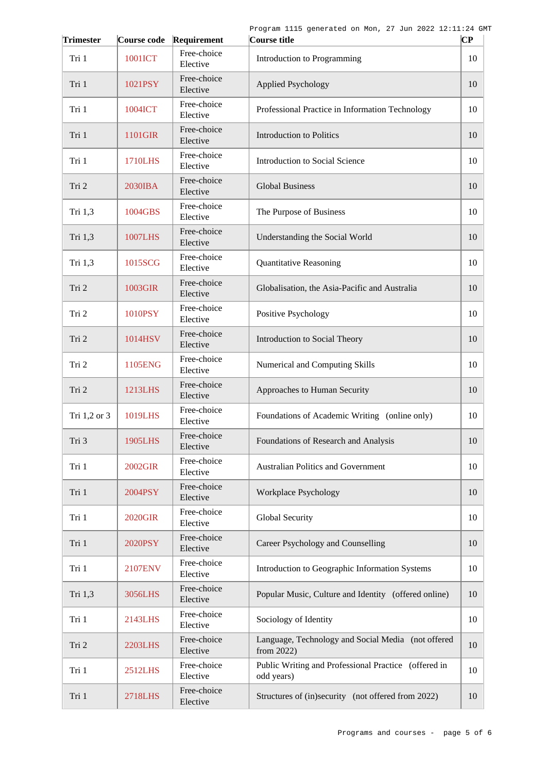| <b>Trimester</b> | Course code    | Requirement             | Course title                                                       | $ {\bf CP}$ |
|------------------|----------------|-------------------------|--------------------------------------------------------------------|-------------|
| Tri 1            | 1001ICT        | Free-choice<br>Elective | Introduction to Programming                                        | 10          |
| Tri 1            | 1021PSY        | Free-choice<br>Elective | <b>Applied Psychology</b>                                          | 10          |
| Tri 1            | 1004ICT        | Free-choice<br>Elective | Professional Practice in Information Technology                    | 10          |
| Tri 1            | 1101GIR        | Free-choice<br>Elective | <b>Introduction to Politics</b>                                    | 10          |
| Tri 1            | 1710LHS        | Free-choice<br>Elective | <b>Introduction to Social Science</b>                              | 10          |
| Tri 2            | 2030IBA        | Free-choice<br>Elective | <b>Global Business</b>                                             | 10          |
| Tri 1,3          | 1004GBS        | Free-choice<br>Elective | The Purpose of Business                                            | 10          |
| Tri 1,3          | 1007LHS        | Free-choice<br>Elective | Understanding the Social World                                     | 10          |
| Tri 1,3          | 1015SCG        | Free-choice<br>Elective | <b>Quantitative Reasoning</b>                                      | 10          |
| Tri 2            | 1003GIR        | Free-choice<br>Elective | Globalisation, the Asia-Pacific and Australia                      | 10          |
| Tri 2            | 1010PSY        | Free-choice<br>Elective | Positive Psychology                                                | 10          |
| Tri 2            | 1014HSV        | Free-choice<br>Elective | Introduction to Social Theory                                      | 10          |
| Tri 2            | 1105ENG        | Free-choice<br>Elective | Numerical and Computing Skills                                     | 10          |
| Tri 2            | <b>1213LHS</b> | Free-choice<br>Elective | Approaches to Human Security                                       | 10          |
| Tri 1,2 or 3     | 1019LHS        | Free-choice<br>Elective | Foundations of Academic Writing (online only)                      | 10          |
| Tri 3            | 1905LHS        | Free-choice<br>Elective | Foundations of Research and Analysis                               | 10          |
| Tri 1            | 2002GIR        | Free-choice<br>Elective | Australian Politics and Government                                 | 10          |
| Tri 1            | 2004PSY        | Free-choice<br>Elective | Workplace Psychology                                               | 10          |
| Tri 1            | <b>2020GIR</b> | Free-choice<br>Elective | Global Security                                                    | 10          |
| Tri 1            | 2020PSY        | Free-choice<br>Elective | Career Psychology and Counselling                                  | 10          |
| Tri 1            | 2107ENV        | Free-choice<br>Elective | Introduction to Geographic Information Systems                     | 10          |
| Tri 1,3          | 3056LHS        | Free-choice<br>Elective | Popular Music, Culture and Identity (offered online)               | 10          |
| Tri 1            | 2143LHS        | Free-choice<br>Elective | Sociology of Identity                                              | 10          |
| Tri 2            | <b>2203LHS</b> | Free-choice<br>Elective | Language, Technology and Social Media (not offered<br>from 2022)   | 10          |
| Tri 1            | 2512LHS        | Free-choice<br>Elective | Public Writing and Professional Practice (offered in<br>odd years) | 10          |
| Tri 1            | 2718LHS        | Free-choice<br>Elective | Structures of (in)security (not offered from 2022)                 | 10          |